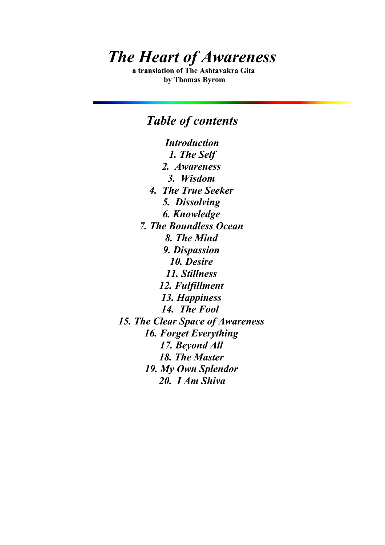# *The Heart of Awareness*

**a translation of The Ashtavakra Gita by Thomas Byrom**

# *Table of contents*

*Introduction 1. The Self 2. Awareness 3. Wisdom 4. The True Seeker 5. Dissolving 6. Knowledge 7. The Boundless Ocean 8. The Mind 9. Dispassion 10. Desire 11. Stillness 12. Fulfillment 13. Happiness 14. The Foo[l](http://www.swcp.com/~robicks/gita14.htm) 15. The Clear Space of Awareness 16. Forget Everything 17. Beyond All 18. The Master 19. My Own Splendor 20. I Am Shiva*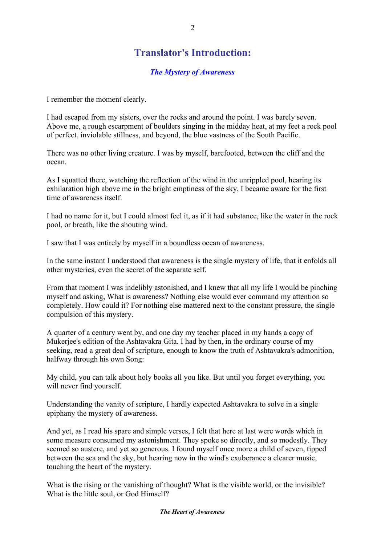# **Translator's Introduction:**

#### *The Mystery of Awareness*

I remember the moment clearly.

I had escaped from my sisters, over the rocks and around the point. I was barely seven. Above me, a rough escarpment of boulders singing in the midday heat, at my feet a rock pool of perfect, inviolable stillness, and beyond, the blue vastness of the South Pacific.

There was no other living creature. I was by myself, barefooted, between the cliff and the ocean.

As I squatted there, watching the reflection of the wind in the unrippled pool, hearing its exhilaration high above me in the bright emptiness of the sky, I became aware for the first time of awareness itself.

I had no name for it, but I could almost feel it, as if it had substance, like the water in the rock pool, or breath, like the shouting wind.

I saw that I was entirely by myself in a boundless ocean of awareness.

In the same instant I understood that awareness is the single mystery of life, that it enfolds all other mysteries, even the secret of the separate self.

From that moment I was indelibly astonished, and I knew that all my life I would be pinching myself and asking, What is awareness? Nothing else would ever command my attention so completely. How could it? For nothing else mattered next to the constant pressure, the single compulsion of this mystery.

A quarter of a century went by, and one day my teacher placed in my hands a copy of Mukerjee's edition of the Ashtavakra Gita. I had by then, in the ordinary course of my seeking, read a great deal of scripture, enough to know the truth of Ashtavakra's admonition, halfway through his own Song:

My child, you can talk about holy books all you like. But until you forget everything, you will never find yourself.

Understanding the vanity of scripture, I hardly expected Ashtavakra to solve in a single epiphany the mystery of awareness.

And yet, as I read his spare and simple verses, I felt that here at last were words which in some measure consumed my astonishment. They spoke so directly, and so modestly. They seemed so austere, and yet so generous. I found myself once more a child of seven, tipped between the sea and the sky, but hearing now in the wind's exuberance a clearer music, touching the heart of the mystery.

What is the rising or the vanishing of thought? What is the visible world, or the invisible? What is the little soul, or God Himself?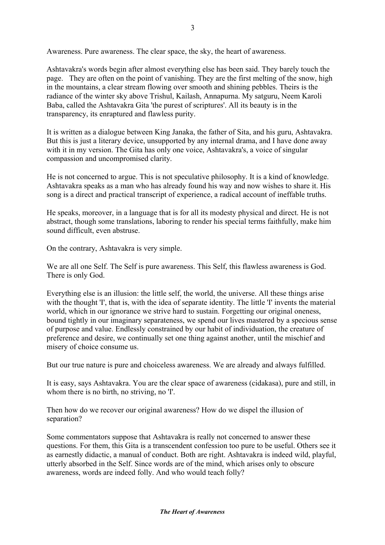Awareness. Pure awareness. The clear space, the sky, the heart of awareness.

Ashtavakra's words begin after almost everything else has been said. They barely touch the page. They are often on the point of vanishing. They are the first melting of the snow, high in the mountains, a clear stream flowing over smooth and shining pebbles. Theirs is the radiance of the winter sky above Trishul, Kailash, Annapurna. My satguru, Neem Karoli Baba, called the Ashtavakra Gita 'the purest of scriptures'. All its beauty is in the transparency, its enraptured and flawless purity.

It is written as a dialogue between King Janaka, the father of Sita, and his guru, Ashtavakra. But this is just a literary device, unsupported by any internal drama, and I have done away with it in my version. The Gita has only one voice, Ashtavakra's, a voice of singular compassion and uncompromised clarity.

He is not concerned to argue. This is not speculative philosophy. It is a kind of knowledge. Ashtavakra speaks as a man who has already found his way and now wishes to share it. His song is a direct and practical transcript of experience, a radical account of ineffable truths.

He speaks, moreover, in a language that is for all its modesty physical and direct. He is not abstract, though some translations, laboring to render his special terms faithfully, make him sound difficult, even abstruse.

On the contrary, Ashtavakra is very simple.

We are all one Self. The Self is pure awareness. This Self, this flawless awareness is God. There is only God.

Everything else is an illusion: the little self, the world, the universe. All these things arise with the thought 'I', that is, with the idea of separate identity. The little 'I' invents the material world, which in our ignorance we strive hard to sustain. Forgetting our original oneness, bound tightly in our imaginary separateness, we spend our lives mastered by a specious sense of purpose and value. Endlessly constrained by our habit of individuation, the creature of preference and desire, we continually set one thing against another, until the mischief and misery of choice consume us.

But our true nature is pure and choiceless awareness. We are already and always fulfilled.

It is easy, says Ashtavakra. You are the clear space of awareness (cidakasa), pure and still, in whom there is no birth, no striving, no  $T$ .

Then how do we recover our original awareness? How do we dispel the illusion of separation?

Some commentators suppose that Ashtavakra is really not concerned to answer these questions. For them, this Gita is a transcendent confession too pure to be useful. Others see it as earnestly didactic, a manual of conduct. Both are right. Ashtavakra is indeed wild, playful, utterly absorbed in the Self. Since words are of the mind, which arises only to obscure awareness, words are indeed folly. And who would teach folly?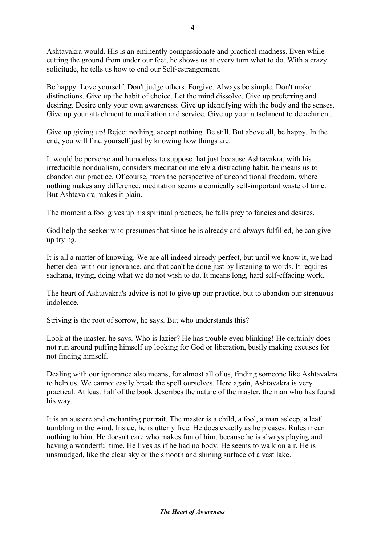Ashtavakra would. His is an eminently compassionate and practical madness. Even while cutting the ground from under our feet, he shows us at every turn what to do. With a crazy solicitude, he tells us how to end our Self-estrangement.

Be happy. Love yourself. Don't judge others. Forgive. Always be simple. Don't make distinctions. Give up the habit of choice. Let the mind dissolve. Give up preferring and desiring. Desire only your own awareness. Give up identifying with the body and the senses. Give up your attachment to meditation and service. Give up your attachment to detachment.

Give up giving up! Reject nothing, accept nothing. Be still. But above all, be happy. In the end, you will find yourself just by knowing how things are.

It would be perverse and humorless to suppose that just because Ashtavakra, with his irreducible nondualism, considers meditation merely a distracting habit, he means us to abandon our practice. Of course, from the perspective of unconditional freedom, where nothing makes any difference, meditation seems a comically self-important waste of time. But Ashtavakra makes it plain.

The moment a fool gives up his spiritual practices, he falls prey to fancies and desires.

God help the seeker who presumes that since he is already and always fulfilled, he can give up trying.

It is all a matter of knowing. We are all indeed already perfect, but until we know it, we had better deal with our ignorance, and that can't be done just by listening to words. It requires sadhana, trying, doing what we do not wish to do. It means long, hard self-effacing work.

The heart of Ashtavakra's advice is not to give up our practice, but to abandon our strenuous indolence.

Striving is the root of sorrow, he says. But who understands this?

Look at the master, he says. Who is lazier? He has trouble even blinking! He certainly does not run around puffing himself up looking for God or liberation, busily making excuses for not finding himself.

Dealing with our ignorance also means, for almost all of us, finding someone like Ashtavakra to help us. We cannot easily break the spell ourselves. Here again, Ashtavakra is very practical. At least half of the book describes the nature of the master, the man who has found his way.

It is an austere and enchanting portrait. The master is a child, a fool, a man asleep, a leaf tumbling in the wind. Inside, he is utterly free. He does exactly as he pleases. Rules mean nothing to him. He doesn't care who makes fun of him, because he is always playing and having a wonderful time. He lives as if he had no body. He seems to walk on air. He is unsmudged, like the clear sky or the smooth and shining surface of a vast lake.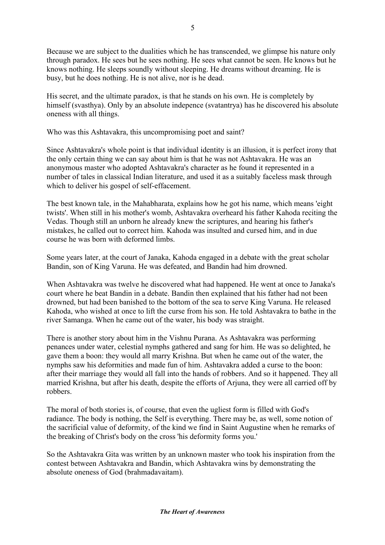Because we are subject to the dualities which he has transcended, we glimpse his nature only through paradox. He sees but he sees nothing. He sees what cannot be seen. He knows but he knows nothing. He sleeps soundly without sleeping. He dreams without dreaming. He is busy, but he does nothing. He is not alive, nor is he dead.

His secret, and the ultimate paradox, is that he stands on his own. He is completely by himself (svasthya). Only by an absolute indepence (svatantrya) has he discovered his absolute oneness with all things.

Who was this Ashtavakra, this uncompromising poet and saint?

Since Ashtavakra's whole point is that individual identity is an illusion, it is perfect irony that the only certain thing we can say about him is that he was not Ashtavakra. He was an anonymous master who adopted Ashtavakra's character as he found it represented in a number of tales in classical Indian literature, and used it as a suitably faceless mask through which to deliver his gospel of self-effacement.

The best known tale, in the Mahabharata, explains how he got his name, which means 'eight twists'. When still in his mother's womb, Ashtavakra overheard his father Kahoda reciting the Vedas. Though still an unborn he already knew the scriptures, and hearing his father's mistakes, he called out to correct him. Kahoda was insulted and cursed him, and in due course he was born with deformed limbs.

Some years later, at the court of Janaka, Kahoda engaged in a debate with the great scholar Bandin, son of King Varuna. He was defeated, and Bandin had him drowned.

When Ashtavakra was twelve he discovered what had happened. He went at once to Janaka's court where he beat Bandin in a debate. Bandin then explained that his father had not been drowned, but had been banished to the bottom of the sea to serve King Varuna. He released Kahoda, who wished at once to lift the curse from his son. He told Ashtavakra to bathe in the river Samanga. When he came out of the water, his body was straight.

There is another story about him in the Vishnu Purana. As Ashtavakra was performing penances under water, celestial nymphs gathered and sang for him. He was so delighted, he gave them a boon: they would all marry Krishna. But when he came out of the water, the nymphs saw his deformities and made fun of him. Ashtavakra added a curse to the boon: after their marriage they would all fall into the hands of robbers. And so it happened. They all married Krishna, but after his death, despite the efforts of Arjuna, they were all carried off by robbers.

The moral of both stories is, of course, that even the ugliest form is filled with God's radiance. The body is nothing, the Self is everything. There may be, as well, some notion of the sacrificial value of deformity, of the kind we find in Saint Augustine when he remarks of the breaking of Christ's body on the cross 'his deformity forms you.'

So the Ashtavakra Gita was written by an unknown master who took his inspiration from the contest between Ashtavakra and Bandin, which Ashtavakra wins by demonstrating the absolute oneness of God (brahmadavaitam).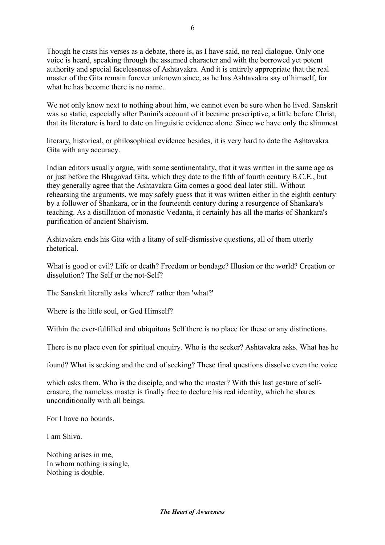Though he casts his verses as a debate, there is, as I have said, no real dialogue. Only one voice is heard, speaking through the assumed character and with the borrowed yet potent authority and special facelessness of Ashtavakra. And it is entirely appropriate that the real master of the Gita remain forever unknown since, as he has Ashtavakra say of himself, for what he has become there is no name.

We not only know next to nothing about him, we cannot even be sure when he lived. Sanskrit was so static, especially after Panini's account of it became prescriptive, a little before Christ, that its literature is hard to date on linguistic evidence alone. Since we have only the slimmest

literary, historical, or philosophical evidence besides, it is very hard to date the Ashtavakra Gita with any accuracy.

Indian editors usually argue, with some sentimentality, that it was written in the same age as or just before the Bhagavad Gita, which they date to the fifth of fourth century B.C.E., but they generally agree that the Ashtavakra Gita comes a good deal later still. Without rehearsing the arguments, we may safely guess that it was written either in the eighth century by a follower of Shankara, or in the fourteenth century during a resurgence of Shankara's teaching. As a distillation of monastic Vedanta, it certainly has all the marks of Shankara's purification of ancient Shaivism.

Ashtavakra ends his Gita with a litany of self-dismissive questions, all of them utterly rhetorical.

What is good or evil? Life or death? Freedom or bondage? Illusion or the world? Creation or dissolution? The Self or the not-Self?

The Sanskrit literally asks 'where?' rather than 'what?'

Where is the little soul, or God Himself?

Within the ever-fulfilled and ubiquitous Self there is no place for these or any distinctions.

There is no place even for spiritual enquiry. Who is the seeker? Ashtavakra asks. What has he

found? What is seeking and the end of seeking? These final questions dissolve even the voice

which asks them. Who is the disciple, and who the master? With this last gesture of selferasure, the nameless master is finally free to declare his real identity, which he shares unconditionally with all beings.

For I have no bounds.

I am Shiva.

Nothing arises in me, In whom nothing is single, Nothing is double.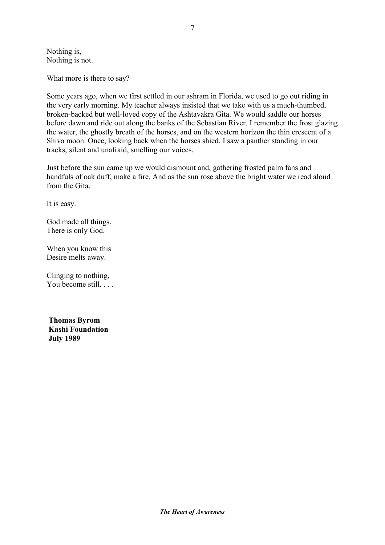Nothing is, Nothing is not.

What more is there to say?

Some years ago, when we first settled in our ashram in Florida, we used to go out riding in the very early morning. My teacher always insisted that we take with us a much-thumbed, broken-backed but well-loved copy of the Ashtavakra Gita. We would saddle our horses before dawn and ride out along the banks of the Sebastian River. I remember the frost glazing the water, the ghostly breath of the horses, and on the western horizon the thin crescent of a Shiva moon. Once, looking back when the horses shied, I saw a panther standing in our tracks, silent and unafraid, smelling our voices.

Just before the sun came up we would dismount and, gathering frosted palm fans and handfuls of oak duff, make a fire. And as the sun rose above the bright water we read aloud from the Gita.

It is easy.

God made all things. There is only God.

When you know this Desire melts away.

Clinging to nothing, You become still. . . .

 **Thomas Byrom Kashi Foundation July 1989**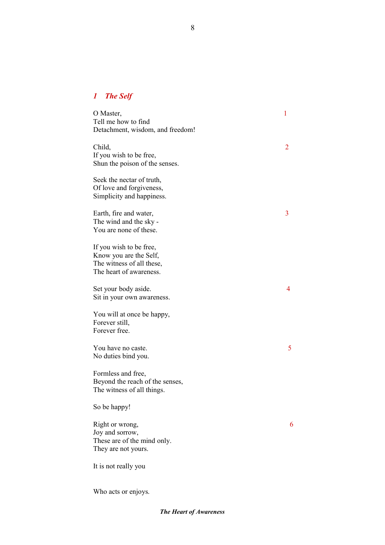### *1 The Self*

| O Master,<br>Tell me how to find<br>Detachment, wisdom, and freedom!                                      | 1 |
|-----------------------------------------------------------------------------------------------------------|---|
| Child,<br>If you wish to be free,<br>Shun the poison of the senses.                                       | 2 |
| Seek the nectar of truth,<br>Of love and forgiveness,<br>Simplicity and happiness.                        |   |
| Earth, fire and water,<br>The wind and the sky -<br>You are none of these.                                | 3 |
| If you wish to be free,<br>Know you are the Self,<br>The witness of all these,<br>The heart of awareness. |   |
| Set your body aside.<br>Sit in your own awareness.                                                        | 4 |
| You will at once be happy,<br>Forever still,<br>Forever free.                                             |   |
| You have no caste.<br>No duties bind you.                                                                 | 5 |
| Formless and free,<br>Beyond the reach of the senses,<br>The witness of all things.                       |   |
| So be happy!                                                                                              |   |
| Right or wrong,<br>Joy and sorrow,<br>These are of the mind only.<br>They are not yours.                  | 6 |
| It is not really you                                                                                      |   |
|                                                                                                           |   |

Who acts or enjoys.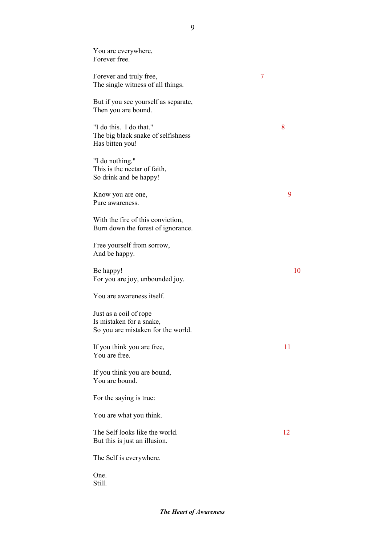You are everywhere, Forever free. Forever and truly free, 7 The single witness of all things. But if you see yourself as separate, Then you are bound. "I do this. I do that." 8 The big black snake of selfishness Has bitten you! "I do nothing." This is the nectar of faith, So drink and be happy! Know you are one, 9 Pure awareness. With the fire of this conviction, Burn down the forest of ignorance. Free yourself from sorrow, And be happy. Be happy! For you are joy, unbounded joy. You are awareness itself. Just as a coil of rope Is mistaken for a snake, So you are mistaken for the world. If you think you are free, 11 You are free. If you think you are bound, You are bound. For the saying is true: You are what you think. The Self looks like the world. 12 But this is just an illusion. The Self is everywhere. One.

Still.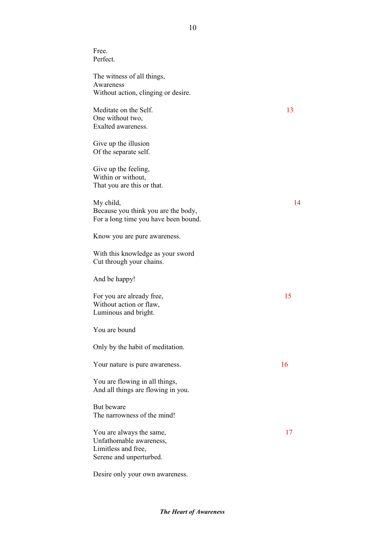Free. Perfect.

The witness of all things, Awareness Without action, clinging or desire.

Meditate on the Self. 13 One without two, Exalted awareness.

Give up the illusion Of the separate self.

Give up the feeling, Within or without, That you are this or that.

My child, 14 Because you think you are the body, For a long time you have been bound.

Know you are pure awareness.

With this knowledge as your sword Cut through your chains.

And be happy!

For you are already free, 15 Without action or flaw, Luminous and bright.

You are bound

Only by the habit of meditation.

Your nature is pure awareness. 16

You are flowing in all things, And all things are flowing in you.

But beware The narrowness of the mind!

You are always the same, 17 Unfathomable awareness, Limitless and free, Serene and unperturbed.

Desire only your own awareness.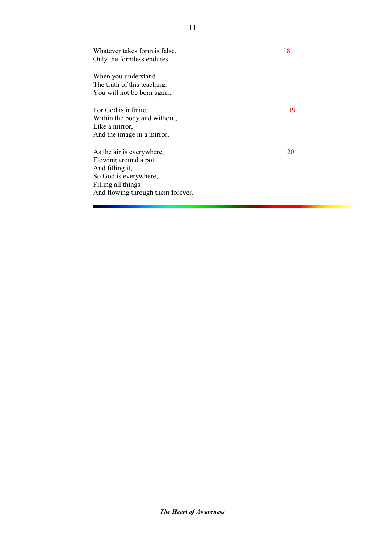| Whatever takes form is false.<br>Only the formless endures.                                                                                              | 18 |
|----------------------------------------------------------------------------------------------------------------------------------------------------------|----|
| When you understand<br>The truth of this teaching,<br>You will not be born again.                                                                        |    |
| For God is infinite,<br>Within the body and without,<br>Like a mirror,<br>And the image in a mirror.                                                     | 19 |
| As the air is everywhere,<br>Flowing around a pot<br>And filling it,<br>So God is everywhere,<br>Filling all things<br>And flowing through them forever. | 20 |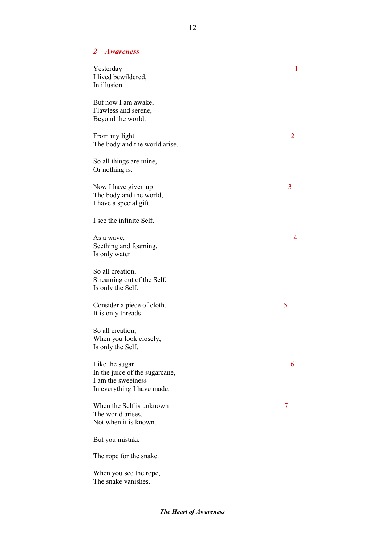#### *2 Awareness*

| Yesterday<br>I lived bewildered,<br>In illusion.                                                     | $\mathbf{1}$ |
|------------------------------------------------------------------------------------------------------|--------------|
| But now I am awake,<br>Flawless and serene,<br>Beyond the world.                                     |              |
| From my light<br>The body and the world arise.                                                       | 2            |
| So all things are mine,<br>Or nothing is.                                                            |              |
| Now I have given up<br>The body and the world,<br>I have a special gift.                             | 3            |
| I see the infinite Self.                                                                             |              |
| As a wave,<br>Seething and foaming,<br>Is only water                                                 | 4            |
| So all creation,<br>Streaming out of the Self,<br>Is only the Self.                                  |              |
| Consider a piece of cloth.<br>It is only threads!                                                    | 5            |
| So all creation,<br>When you look closely,<br>Is only the Self.                                      |              |
| Like the sugar<br>In the juice of the sugarcane,<br>I am the sweetness<br>In everything I have made. | 6            |
| When the Self is unknown<br>The world arises,<br>Not when it is known.                               | 7            |
| But you mistake                                                                                      |              |
| The rope for the snake.                                                                              |              |
| When you see the rope,<br>The snake vanishes.                                                        |              |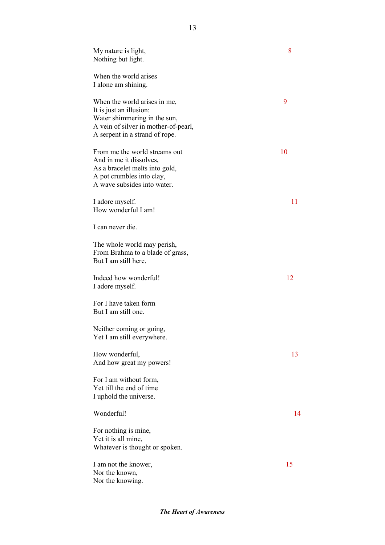| My nature is light,<br>Nothing but light.                                                                                                                         | 8  |
|-------------------------------------------------------------------------------------------------------------------------------------------------------------------|----|
| When the world arises<br>I alone am shining.                                                                                                                      |    |
| When the world arises in me,<br>It is just an illusion:<br>Water shimmering in the sun,<br>A vein of silver in mother-of-pearl,<br>A serpent in a strand of rope. | 9  |
| From me the world streams out<br>And in me it dissolves,<br>As a bracelet melts into gold,<br>A pot crumbles into clay,<br>A wave subsides into water.            | 10 |
| I adore myself.<br>How wonderful I am!                                                                                                                            | 11 |
| I can never die.                                                                                                                                                  |    |
| The whole world may perish,<br>From Brahma to a blade of grass,<br>But I am still here.                                                                           |    |
| Indeed how wonderful!<br>I adore myself.                                                                                                                          | 12 |
| For I have taken form<br>But I am still one.                                                                                                                      |    |
| Neither coming or going,<br>Yet I am still everywhere.                                                                                                            |    |
| How wonderful,<br>And how great my powers!                                                                                                                        | 13 |
| For I am without form,<br>Yet till the end of time<br>I uphold the universe.                                                                                      |    |
| Wonderful!                                                                                                                                                        | 14 |
| For nothing is mine,<br>Yet it is all mine,<br>Whatever is thought or spoken.                                                                                     |    |
| I am not the knower,<br>Nor the known,<br>Nor the knowing.                                                                                                        | 15 |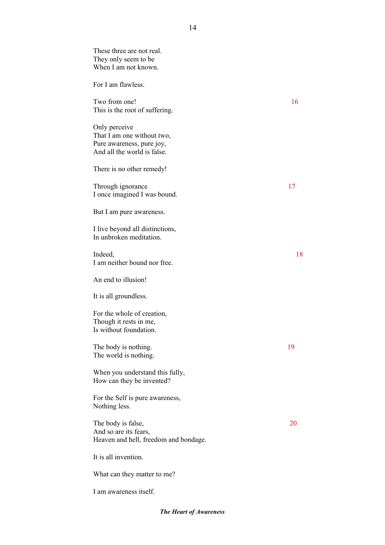These three are not real. They only seem to be When I am not known. For I am flawless. Two from one! 16 This is the root of suffering. Only perceive That I am one without two, Pure awareness, pure joy, And all the world is false. There is no other remedy! Through ignorance 17 I once imagined I was bound. But I am pure awareness. I live beyond all distinctions, In unbroken meditation. Indeed, 18 I am neither bound nor free. An end to illusion! It is all groundless. For the whole of creation, Though it rests in me, Is without foundation. The body is nothing. 19 The world is nothing. When you understand this fully, How can they be invented? For the Self is pure awareness, Nothing less. The body is false, 20 And so are its fears, Heaven and hell, freedom and bondage. It is all invention. What can they matter to me? I am awareness itself.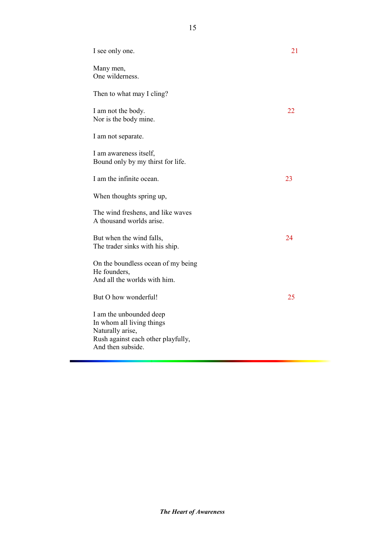| I see only one.                                                                                                                     | 21 |
|-------------------------------------------------------------------------------------------------------------------------------------|----|
| Many men,<br>One wilderness.                                                                                                        |    |
| Then to what may I cling?                                                                                                           |    |
| I am not the body.<br>Nor is the body mine.                                                                                         | 22 |
| I am not separate.                                                                                                                  |    |
| I am awareness itself,<br>Bound only by my thirst for life.                                                                         |    |
| I am the infinite ocean.                                                                                                            | 23 |
| When thoughts spring up,                                                                                                            |    |
| The wind freshens, and like waves<br>A thousand worlds arise.                                                                       |    |
| But when the wind falls,<br>The trader sinks with his ship.                                                                         | 24 |
| On the boundless ocean of my being<br>He founders,<br>And all the worlds with him.                                                  |    |
| But O how wonderful!                                                                                                                | 25 |
| I am the unbounded deep<br>In whom all living things<br>Naturally arise,<br>Rush against each other playfully,<br>And then subside. |    |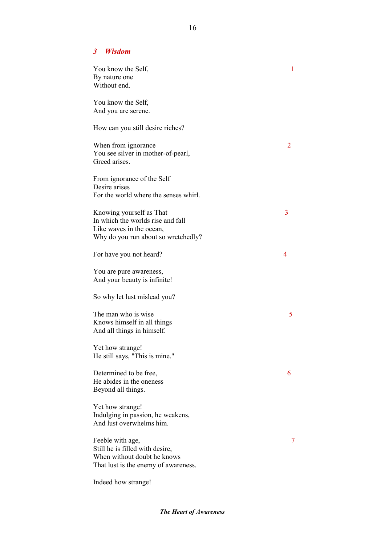#### *3 Wisdom*

| You know the Self,<br>By nature one<br>Without end.                                                                              | 1 |
|----------------------------------------------------------------------------------------------------------------------------------|---|
| You know the Self,<br>And you are serene.                                                                                        |   |
| How can you still desire riches?                                                                                                 |   |
| When from ignorance<br>You see silver in mother-of-pearl,<br>Greed arises.                                                       | 2 |
| From ignorance of the Self<br>Desire arises<br>For the world where the senses whirl.                                             |   |
| Knowing yourself as That<br>In which the worlds rise and fall<br>Like waves in the ocean,<br>Why do you run about so wretchedly? | 3 |
| For have you not heard?                                                                                                          | 4 |
| You are pure awareness,<br>And your beauty is infinite!                                                                          |   |
| So why let lust mislead you?                                                                                                     |   |
| The man who is wise<br>Knows himself in all things<br>And all things in himself.                                                 | 5 |
| Yet how strange!<br>He still says, "This is mine."                                                                               |   |
| Determined to be free,<br>He abides in the oneness<br>Beyond all things.                                                         | 6 |
| Yet how strange!<br>Indulging in passion, he weakens,<br>And lust overwhelms him.                                                |   |
| Feeble with age,<br>Still he is filled with desire,<br>When without doubt he knows<br>That lust is the enemy of awareness.       | 7 |
| Indeed how strange!                                                                                                              |   |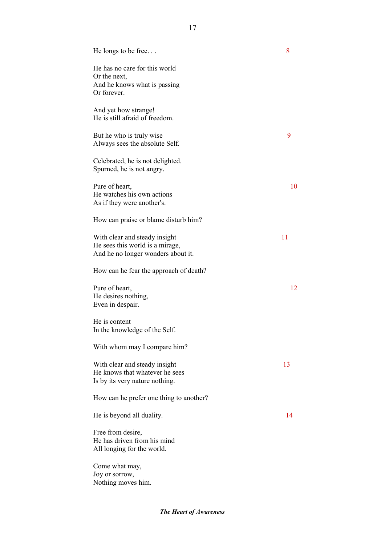| He longs to be free                                                                                    | 8  |
|--------------------------------------------------------------------------------------------------------|----|
| He has no care for this world<br>Or the next,<br>And he knows what is passing<br>Or forever.           |    |
| And yet how strange!<br>He is still afraid of freedom.                                                 |    |
| But he who is truly wise<br>Always sees the absolute Self.                                             | 9  |
| Celebrated, he is not delighted.<br>Spurned, he is not angry.                                          |    |
| Pure of heart,<br>He watches his own actions<br>As if they were another's.                             | 10 |
| How can praise or blame disturb him?                                                                   |    |
| With clear and steady insight<br>He sees this world is a mirage,<br>And he no longer wonders about it. | 11 |
| How can he fear the approach of death?                                                                 |    |
| Pure of heart,<br>He desires nothing,<br>Even in despair.                                              | 12 |
| He is content<br>In the knowledge of the Self.                                                         |    |
| With whom may I compare him?                                                                           |    |
| With clear and steady insight<br>He knows that whatever he sees<br>Is by its very nature nothing.      | 13 |
| How can he prefer one thing to another?                                                                |    |
| He is beyond all duality.                                                                              | 14 |
| Free from desire,<br>He has driven from his mind<br>All longing for the world.                         |    |
| Come what may,<br>Joy or sorrow,<br>Nothing moves him.                                                 |    |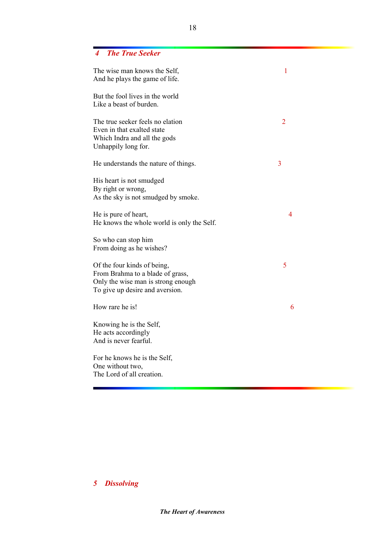### *4 The True Seeker*

| The wise man knows the Self,<br>And he plays the game of life.                                                                           | $\mathbf{1}$   |
|------------------------------------------------------------------------------------------------------------------------------------------|----------------|
| But the fool lives in the world<br>Like a beast of burden.                                                                               |                |
| The true seeker feels no elation<br>Even in that exalted state<br>Which Indra and all the gods<br>Unhappily long for.                    | $\overline{2}$ |
| He understands the nature of things.                                                                                                     | 3              |
| His heart is not smudged<br>By right or wrong,<br>As the sky is not smudged by smoke.                                                    |                |
| He is pure of heart,<br>He knows the whole world is only the Self.                                                                       | 4              |
| So who can stop him<br>From doing as he wishes?                                                                                          |                |
| Of the four kinds of being,<br>From Brahma to a blade of grass,<br>Only the wise man is strong enough<br>To give up desire and aversion. | 5              |
| How rare he is!                                                                                                                          | 6              |
| Knowing he is the Self,<br>He acts accordingly<br>And is never fearful.                                                                  |                |
| For he knows he is the Self,<br>One without two,<br>The Lord of all creation.                                                            |                |

# *5 Dissolving*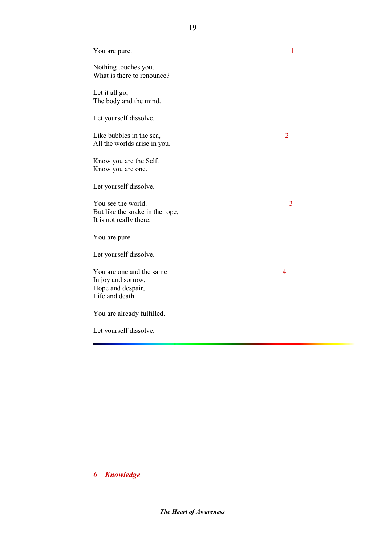| You are pure.                                                                          | 1              |
|----------------------------------------------------------------------------------------|----------------|
| Nothing touches you.<br>What is there to renounce?                                     |                |
| Let it all go,<br>The body and the mind.                                               |                |
| Let yourself dissolve.                                                                 |                |
| Like bubbles in the sea,<br>All the worlds arise in you.                               | $\overline{2}$ |
| Know you are the Self.<br>Know you are one.                                            |                |
| Let yourself dissolve.                                                                 |                |
| You see the world.<br>But like the snake in the rope,<br>It is not really there.       | 3              |
| You are pure.                                                                          |                |
| Let yourself dissolve.                                                                 |                |
| You are one and the same<br>In joy and sorrow,<br>Hope and despair,<br>Life and death. | 4              |
| You are already fulfilled.                                                             |                |
| Let yourself dissolve.                                                                 |                |

*6 Knowledge*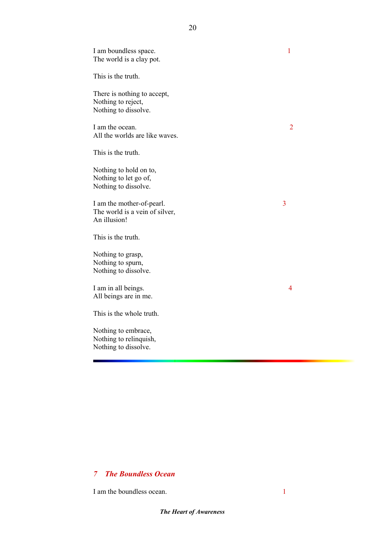I am boundless space. 1 The world is a clay pot. This is the truth. There is nothing to accept, Nothing to reject, Nothing to dissolve. I am the ocean. All the worlds are like waves. This is the truth. Nothing to hold on to, Nothing to let go of, Nothing to dissolve. I am the mother-of-pearl. 3 The world is a vein of silver, An illusion! This is the truth. Nothing to grasp, Nothing to spurn, Nothing to dissolve. I am in all beings. 4 All beings are in me. This is the whole truth. Nothing to embrace, Nothing to relinquish, Nothing to dissolve.

20

### *7 The Boundless Ocean*

I am the boundless ocean. 1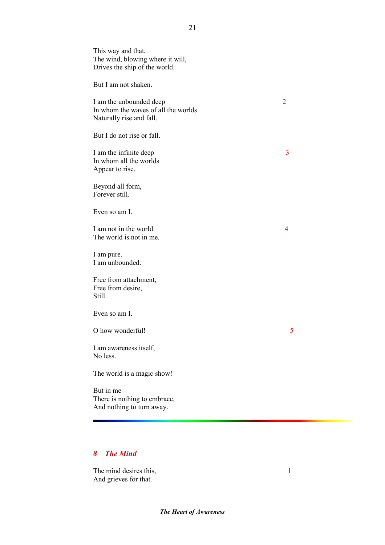This way and that, The wind, blowing where it will, Drives the ship of the world. But I am not shaken. I am the unbounded deep 2 In whom the waves of all the worlds Naturally rise and fall. But I do not rise or fall. I am the infinite deep 3 In whom all the worlds Appear to rise. Beyond all form, Forever still. Even so am I. I am not in the world. 4 The world is not in me. I am pure. I am unbounded. Free from attachment, Free from desire, Still. Even so am I. O how wonderful! I am awareness itself, No less. The world is a magic show! But in me There is nothing to embrace, And nothing to turn away.

### *8 The Mind*

The mind desires this, 1 And grieves for that.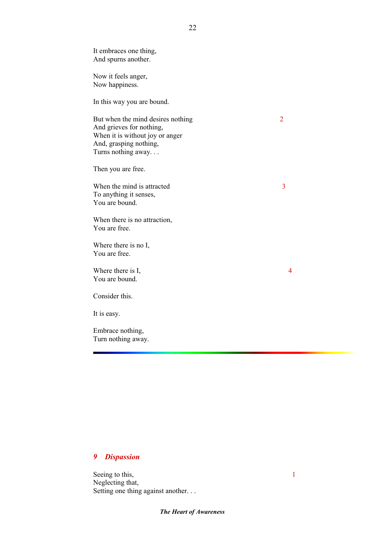It embraces one thing, And spurns another. Now it feels anger, Now happiness. In this way you are bound. But when the mind desires nothing 2 And grieves for nothing, When it is without joy or anger And, grasping nothing, Turns nothing away. . . Then you are free. When the mind is attracted 3 To anything it senses, You are bound. When there is no attraction, You are free. Where there is no I, You are free. Where there is I, 4 You are bound. Consider this. It is easy. Embrace nothing,

#### *9 Dispassion*

Turn nothing away.

Seeing to this, 1 Neglecting that, Setting one thing against another. . .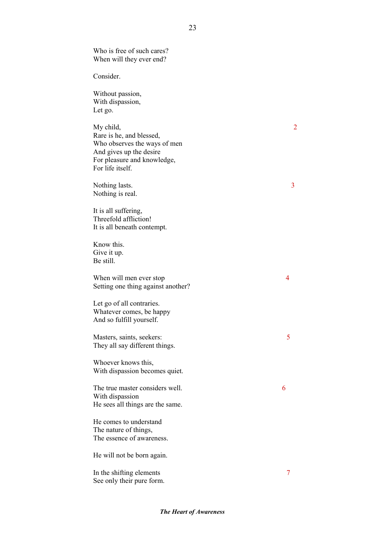Who is free of such cares? When will they ever end?

Consider.

Without passion, With dispassion, Let go.

My child, 2 Rare is he, and blessed, Who observes the ways of men And gives up the desire For pleasure and knowledge, For life itself.

Nothing lasts. 3 Nothing is real.

It is all suffering, Threefold affliction! It is all beneath contempt.

Know this. Give it up. Be still.

When will men ever stop 4 Setting one thing against another?

Let go of all contraries. Whatever comes, be happy And so fulfill yourself.

Masters, saints, seekers: 5 They all say different things.

Whoever knows this, With dispassion becomes quiet.

The true master considers well. 6 With dispassion He sees all things are the same.

He comes to understand The nature of things, The essence of awareness.

He will not be born again.

In the shifting elements 7 See only their pure form.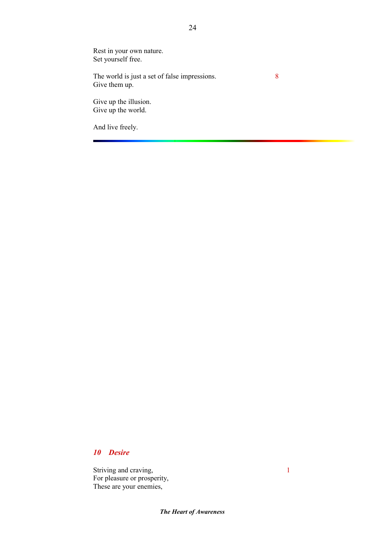Rest in your own nature. Set yourself free.

The world is just a set of false impressions. 8 Give them up.

Give up the illusion. Give up the world.

And live freely.

### *10 Desire*

Striving and craving, 1 For pleasure or prosperity, These are your enemies,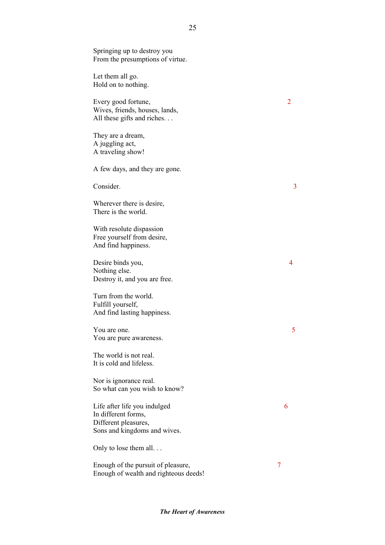Springing up to destroy you From the presumptions of virtue.

Let them all go. Hold on to nothing.

Every good fortune, 2 Wives, friends, houses, lands, All these gifts and riches. . .

They are a dream, A juggling act, A traveling show!

A few days, and they are gone.

Consider. 3

Wherever there is desire, There is the world.

With resolute dispassion Free yourself from desire, And find happiness.

Desire binds you, 4 Nothing else. Destroy it, and you are free.

Turn from the world. Fulfill yourself, And find lasting happiness.

You are one. 5 You are pure awareness.

The world is not real. It is cold and lifeless.

Nor is ignorance real. So what can you wish to know?

Life after life you indulged 6 In different forms, Different pleasures, Sons and kingdoms and wives.

Only to lose them all. . .

Enough of the pursuit of pleasure, 7 Enough of wealth and righteous deeds!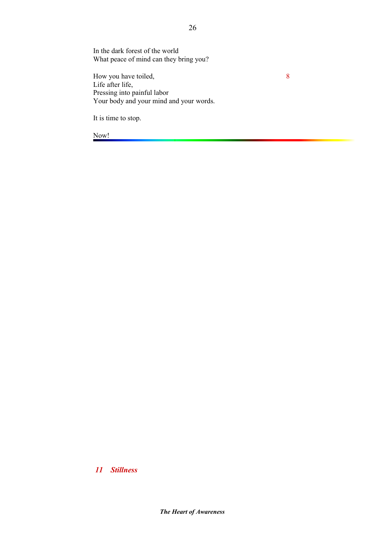In the dark forest of the world What peace of mind can they bring you?

How you have toiled, 8 Life after life, Pressing into painful labor Your body and your mind and your words.

It is time to stop.

Now!

*11 Stillness*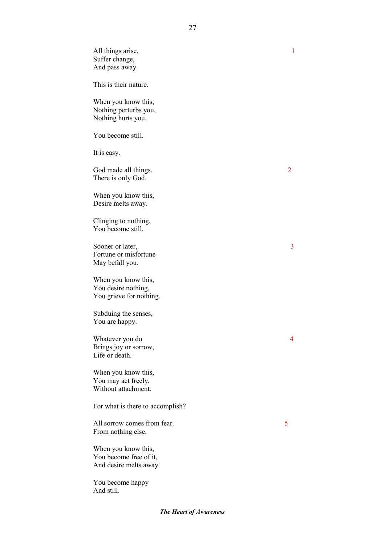All things arise, 1 Suffer change, And pass away. This is their nature. When you know this, Nothing perturbs you, Nothing hurts you. You become still. It is easy. God made all things. There is only God. When you know this, Desire melts away. Clinging to nothing, You become still. Sooner or later, 3 Fortune or misfortune May befall you. When you know this, You desire nothing, You grieve for nothing. Subduing the senses, You are happy. Whatever you do 4 Brings joy or sorrow, Life or death. When you know this, You may act freely, Without attachment. For what is there to accomplish? All sorrow comes from fear. 5 From nothing else. When you know this, You become free of it, And desire melts away. You become happy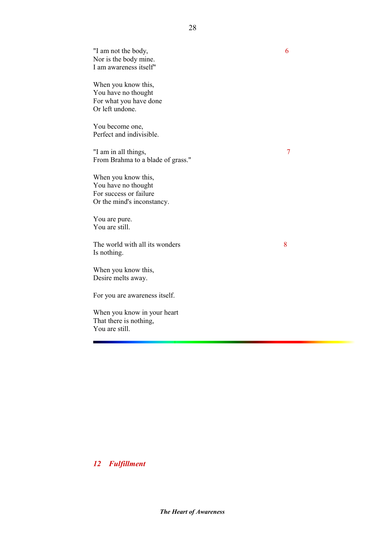"I am not the body, 6 Nor is the body mine. I am awareness itself"

When you know this, You have no thought For what you have done Or left undone.

You become one, Perfect and indivisible.

"I am in all things, 7 From Brahma to a blade of grass."

When you know this, You have no thought For success or failure Or the mind's inconstancy.

You are pure. You are still.

The world with all its wonders 8 Is nothing.

When you know this, Desire melts away.

For you are awareness itself.

When you know in your heart That there is nothing, You are still.

*12 Fulfillment*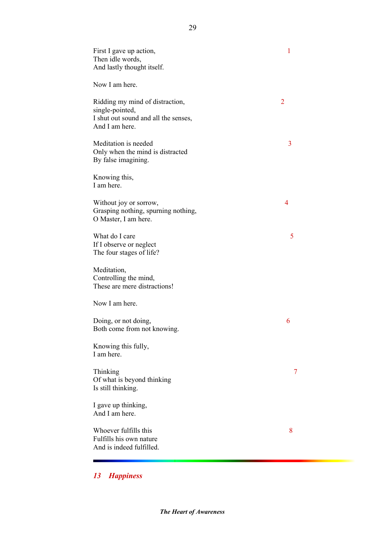| First I gave up action,<br>Then idle words,<br>And lastly thought itself.                                    | $\mathbf{1}$   |
|--------------------------------------------------------------------------------------------------------------|----------------|
| Now I am here.                                                                                               |                |
| Ridding my mind of distraction,<br>single-pointed,<br>I shut out sound and all the senses,<br>And I am here. | $\overline{2}$ |
| Meditation is needed<br>Only when the mind is distracted<br>By false imagining.                              | 3              |
| Knowing this,<br>I am here.                                                                                  |                |
| Without joy or sorrow,<br>Grasping nothing, spurning nothing,<br>O Master, I am here.                        | 4              |
| What do I care<br>If I observe or neglect<br>The four stages of life?                                        | 5              |
| Meditation,<br>Controlling the mind,<br>These are mere distractions!                                         |                |
| Now I am here.                                                                                               |                |
| Doing, or not doing,<br>Both come from not knowing.                                                          | 6              |
| Knowing this fully,<br>I am here.                                                                            |                |
| Thinking<br>Of what is beyond thinking<br>Is still thinking.                                                 | 7              |
| I gave up thinking,<br>And I am here.                                                                        |                |
| Whoever fulfills this<br>Fulfills his own nature<br>And is indeed fulfilled.                                 | 8              |

# *13 Happiness*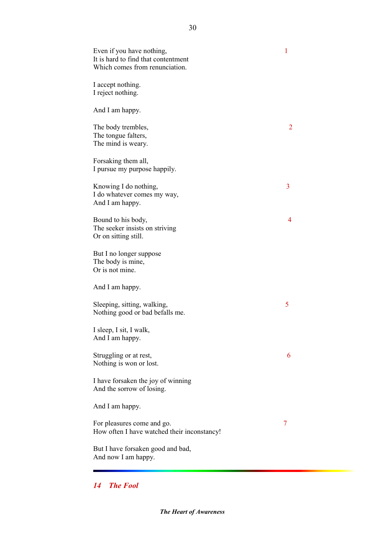Even if you have nothing, 1 It is hard to find that contentment Which comes from renunciation. I accept nothing. I reject nothing. And I am happy. The body trembles, 2 The tongue falters, The mind is weary. Forsaking them all, I pursue my purpose happily. Knowing I do nothing, 3 I do whatever comes my way, And I am happy. Bound to his body, 4 The seeker insists on striving Or on sitting still. But I no longer suppose The body is mine, Or is not mine. And I am happy. Sleeping, sitting, walking, 5 Nothing good or bad befalls me. I sleep, I sit, I walk, And I am happy. Struggling or at rest, 6 Nothing is won or lost. I have forsaken the joy of winning And the sorrow of losing. And I am happy. For pleasures come and go. 7 How often I have watched their inconstancy! But I have forsaken good and bad, And now I am happy.

### *14 The Fool*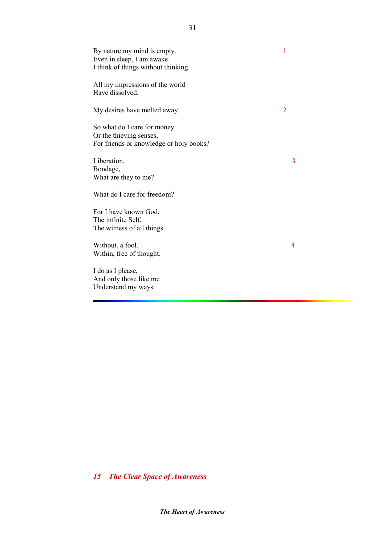| By nature my mind is empty.<br>Even in sleep, I am awake.<br>I think of things without thinking.  | 1 |
|---------------------------------------------------------------------------------------------------|---|
| All my impressions of the world<br>Have dissolved.                                                |   |
| My desires have melted away.                                                                      | 2 |
| So what do I care for money<br>Or the thieving senses,<br>For friends or knowledge or holy books? |   |
| Liberation,<br>Bondage,<br>What are they to me?                                                   | 3 |
| What do I care for freedom?                                                                       |   |
| For I have known God,<br>The infinite Self,<br>The witness of all things.                         |   |
| Without, a fool.<br>Within, free of thought.                                                      | 4 |
| I do as I please,<br>And only those like me<br>Understand my ways.                                |   |

*15 The Clear Space of Awareness*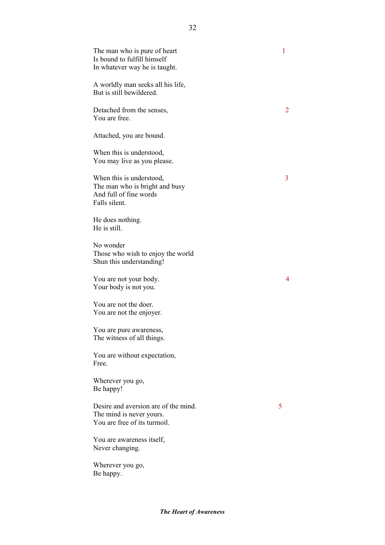| The man who is pure of heart<br>Is bound to fulfill himself<br>In whatever way he is taught.          | 1 |
|-------------------------------------------------------------------------------------------------------|---|
| A worldly man seeks all his life,<br>But is still bewildered.                                         |   |
| Detached from the senses,<br>You are free.                                                            | 2 |
| Attached, you are bound.                                                                              |   |
| When this is understood,<br>You may live as you please.                                               |   |
| When this is understood,<br>The man who is bright and busy<br>And full of fine words<br>Falls silent. | 3 |
| He does nothing.<br>He is still.                                                                      |   |
| No wonder<br>Those who wish to enjoy the world<br>Shun this understanding!                            |   |
| You are not your body.<br>Your body is not you.                                                       | 4 |
| You are not the doer.<br>You are not the enjoyer.                                                     |   |
| You are pure awareness,<br>The witness of all things.                                                 |   |
| You are without expectation,<br>Free.                                                                 |   |
| Wherever you go,<br>Be happy!                                                                         |   |
| Desire and aversion are of the mind.<br>The mind is never yours.<br>You are free of its turmoil.      | 5 |
| You are awareness itself,<br>Never changing.                                                          |   |
| Wherever you go,<br>Be happy.                                                                         |   |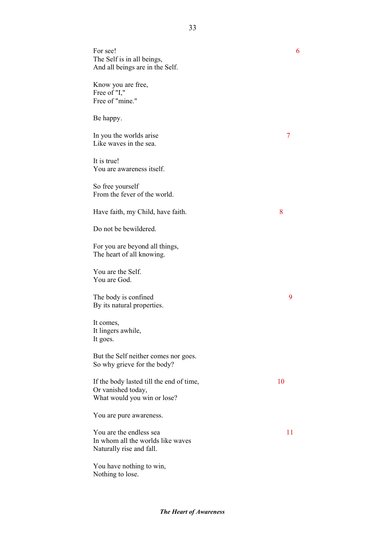| For see!<br>The Self is in all beings,<br>And all beings are in the Self.                     | 6  |
|-----------------------------------------------------------------------------------------------|----|
| Know you are free,<br>Free of "I,"<br>Free of "mine."                                         |    |
| Be happy.                                                                                     |    |
| In you the worlds arise<br>Like waves in the sea.                                             | 7  |
| It is true!<br>You are awareness itself.                                                      |    |
| So free yourself<br>From the fever of the world.                                              |    |
| Have faith, my Child, have faith.                                                             | 8  |
| Do not be bewildered.                                                                         |    |
| For you are beyond all things,<br>The heart of all knowing.                                   |    |
| You are the Self.<br>You are God.                                                             |    |
| The body is confined<br>By its natural properties.                                            | 9  |
| It comes,<br>It lingers awhile,<br>It goes.                                                   |    |
| But the Self neither comes nor goes.<br>So why grieve for the body?                           |    |
| If the body lasted till the end of time,<br>Or vanished today,<br>What would you win or lose? | 10 |
| You are pure awareness.                                                                       |    |
| You are the endless sea<br>In whom all the worlds like waves<br>Naturally rise and fall.      | 11 |
| You have nothing to win,<br>Nothing to lose.                                                  |    |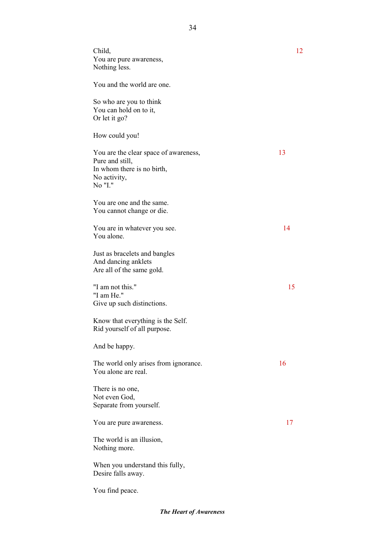| Child,<br>You are pure awareness,<br>Nothing less.                                                                | 12 |
|-------------------------------------------------------------------------------------------------------------------|----|
| You and the world are one.                                                                                        |    |
| So who are you to think<br>You can hold on to it,<br>Or let it go?                                                |    |
| How could you!                                                                                                    |    |
| You are the clear space of awareness,<br>Pure and still,<br>In whom there is no birth,<br>No activity,<br>No "I." | 13 |
| You are one and the same.<br>You cannot change or die.                                                            |    |
| You are in whatever you see.<br>You alone.                                                                        | 14 |
| Just as bracelets and bangles<br>And dancing anklets<br>Are all of the same gold.                                 |    |
| "I am not this."<br>"I am He."<br>Give up such distinctions.                                                      | 15 |
| Know that everything is the Self.<br>Rid yourself of all purpose.                                                 |    |
| And be happy.                                                                                                     |    |
| The world only arises from ignorance.<br>You alone are real.                                                      | 16 |
| There is no one,<br>Not even God,<br>Separate from yourself.                                                      |    |
| You are pure awareness.                                                                                           | 17 |
| The world is an illusion,<br>Nothing more.                                                                        |    |
| When you understand this fully,<br>Desire falls away.                                                             |    |
| You find peace.                                                                                                   |    |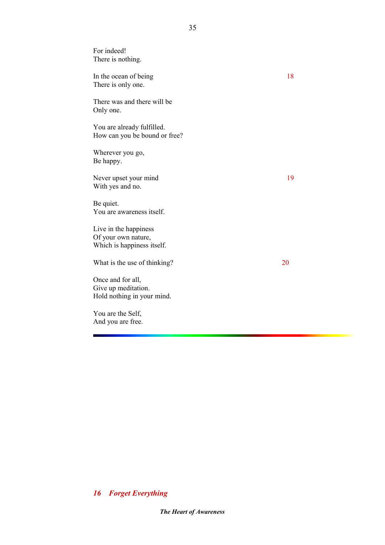For indeed! There is nothing. In the ocean of being 18 There is only one. There was and there will be Only one. You are already fulfilled. How can you be bound or free? Wherever you go, Be happy. Never upset your mind 19 With yes and no. Be quiet. You are awareness itself. Live in the happiness Of your own nature, Which is happiness itself. What is the use of thinking? 20 Once and for all, Give up meditation. Hold nothing in your mind. You are the Self, And you are free.

#### 35

### *16 Forget Everything*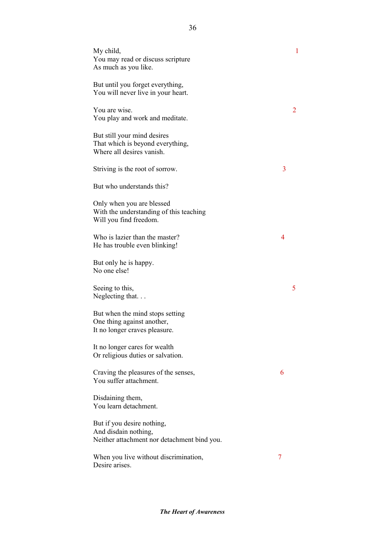| My child,<br>You may read or discuss scripture<br>As much as you like.                            |   | 1 |
|---------------------------------------------------------------------------------------------------|---|---|
| But until you forget everything,<br>You will never live in your heart.                            |   |   |
| You are wise.<br>You play and work and meditate.                                                  |   | 2 |
| But still your mind desires<br>That which is beyond everything,<br>Where all desires vanish.      |   |   |
| Striving is the root of sorrow.                                                                   | 3 |   |
| But who understands this?                                                                         |   |   |
| Only when you are blessed<br>With the understanding of this teaching<br>Will you find freedom.    |   |   |
| Who is lazier than the master?<br>He has trouble even blinking!                                   | 4 |   |
| But only he is happy.<br>No one else!                                                             |   |   |
| Seeing to this,<br>Neglecting that                                                                |   | 5 |
| But when the mind stops setting<br>One thing against another,<br>It no longer craves pleasure.    |   |   |
| It no longer cares for wealth<br>Or religious duties or salvation.                                |   |   |
| Craving the pleasures of the senses,<br>You suffer attachment.                                    | 6 |   |
| Disdaining them,<br>You learn detachment.                                                         |   |   |
| But if you desire nothing,<br>And disdain nothing,<br>Neither attachment nor detachment bind you. |   |   |
| When you live without discrimination,<br>Desire arises.                                           | 7 |   |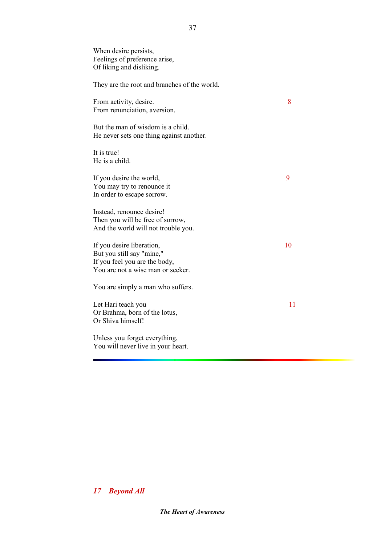| When desire persists,<br>Feelings of preference arise,<br>Of liking and disliking.                                           |    |
|------------------------------------------------------------------------------------------------------------------------------|----|
| They are the root and branches of the world.                                                                                 |    |
| From activity, desire.<br>From renunciation, aversion.                                                                       | 8  |
| But the man of wisdom is a child.<br>He never sets one thing against another.                                                |    |
| It is true!<br>He is a child.                                                                                                |    |
| If you desire the world,<br>You may try to renounce it<br>In order to escape sorrow.                                         | 9  |
| Instead, renounce desire!<br>Then you will be free of sorrow,<br>And the world will not trouble you.                         |    |
| If you desire liberation,<br>But you still say "mine,"<br>If you feel you are the body,<br>You are not a wise man or seeker. | 10 |
| You are simply a man who suffers.                                                                                            |    |
| Let Hari teach you<br>Or Brahma, born of the lotus,<br>Or Shiva himself!                                                     | 11 |
| Unless you forget everything,<br>You will never live in your heart.                                                          |    |

37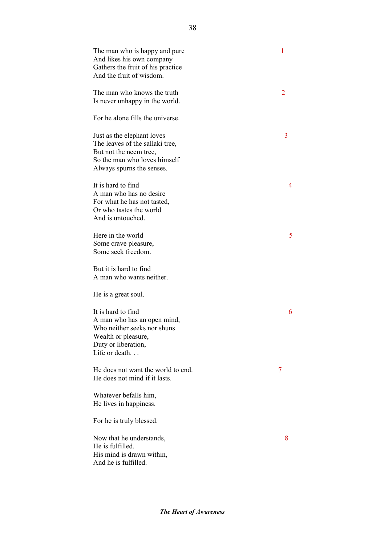| The man who is happy and pure<br>And likes his own company<br>Gathers the fruit of his practice<br>And the fruit of wisdom.                          | 1 |
|------------------------------------------------------------------------------------------------------------------------------------------------------|---|
| The man who knows the truth<br>Is never unhappy in the world.                                                                                        | 2 |
| For he alone fills the universe.                                                                                                                     |   |
| Just as the elephant loves<br>The leaves of the sallaki tree,<br>But not the neem tree,<br>So the man who loves himself<br>Always spurns the senses. | 3 |
| It is hard to find<br>A man who has no desire<br>For what he has not tasted,<br>Or who tastes the world<br>And is untouched.                         | 4 |
| Here in the world<br>Some crave pleasure,<br>Some seek freedom.                                                                                      | 5 |
| But it is hard to find<br>A man who wants neither.                                                                                                   |   |
| He is a great soul.                                                                                                                                  |   |
| It is hard to find<br>A man who has an open mind,<br>Who neither seeks nor shuns<br>Wealth or pleasure,<br>Duty or liberation,<br>Life or death      | 6 |
| He does not want the world to end.<br>He does not mind if it lasts.                                                                                  | 7 |
| Whatever befalls him,<br>He lives in happiness.                                                                                                      |   |
| For he is truly blessed.                                                                                                                             |   |
| Now that he understands,<br>He is fulfilled.<br>His mind is drawn within,<br>And he is fulfilled.                                                    | 8 |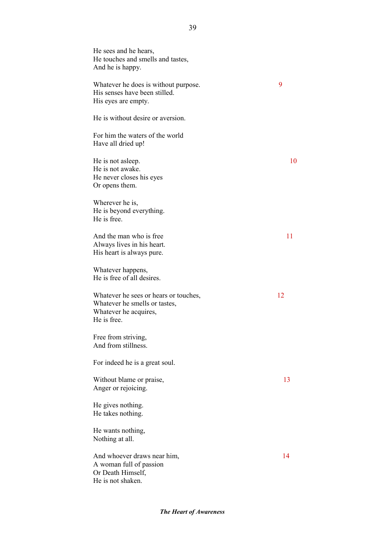He sees and he hears, He touches and smells and tastes, And he is happy. Whatever he does is without purpose. 9 His senses have been stilled. His eyes are empty. He is without desire or aversion. For him the waters of the world Have all dried up! He is not asleep. 10 He is not awake. He never closes his eyes Or opens them. Wherever he is, He is beyond everything. He is free. And the man who is free 11 Always lives in his heart. His heart is always pure. Whatever happens, He is free of all desires. Whatever he sees or hears or touches, 12 Whatever he smells or tastes, Whatever he acquires, He is free. Free from striving, And from stillness. For indeed he is a great soul. Without blame or praise, 13 Anger or rejoicing. He gives nothing. He takes nothing. He wants nothing, Nothing at all. And whoever draws near him, 14 A woman full of passion Or Death Himself, He is not shaken.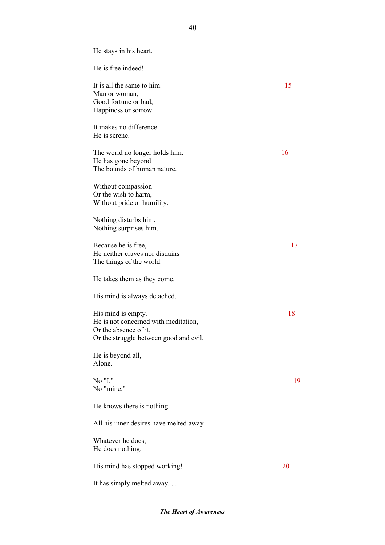He stays in his heart. He is free indeed! It is all the same to him. Man or woman, Good fortune or bad, Happiness or sorrow. It makes no difference. He is serene. The world no longer holds him. 16 He has gone beyond The bounds of human nature. Without compassion Or the wish to harm, Without pride or humility. Nothing disturbs him. Nothing surprises him. Because he is free, 17 He neither craves nor disdains The things of the world. He takes them as they come. His mind is always detached. His mind is empty. 18 He is not concerned with meditation, Or the absence of it, Or the struggle between good and evil. He is beyond all, Alone. No "I," 19 No "mine." He knows there is nothing. All his inner desires have melted away. Whatever he does, He does nothing. His mind has stopped working! 20 It has simply melted away. . .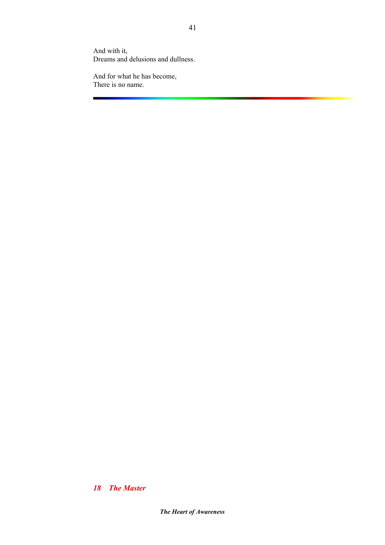And with it, Dreams and delusions and dullness.

And for what he has become, There is no name.

*18 The Master*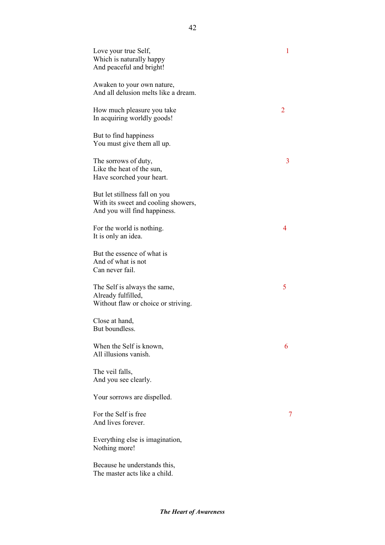| Love your true Self,<br>Which is naturally happy<br>And peaceful and bright!                         | 1 |
|------------------------------------------------------------------------------------------------------|---|
| Awaken to your own nature,<br>And all delusion melts like a dream.                                   |   |
| How much pleasure you take<br>In acquiring worldly goods!                                            | 2 |
| But to find happiness<br>You must give them all up.                                                  |   |
| The sorrows of duty,<br>Like the heat of the sun,<br>Have scorched your heart.                       | 3 |
| But let stillness fall on you<br>With its sweet and cooling showers,<br>And you will find happiness. |   |
| For the world is nothing.<br>It is only an idea.                                                     | 4 |
| But the essence of what is<br>And of what is not<br>Can never fail.                                  |   |
| The Self is always the same,<br>Already fulfilled,<br>Without flaw or choice or striving.            | 5 |
| Close at hand,<br>But boundless.                                                                     |   |
| When the Self is known,<br>All illusions vanish.                                                     | 6 |
| The veil falls,<br>And you see clearly.                                                              |   |
| Your sorrows are dispelled.                                                                          |   |
| For the Self is free<br>And lives forever.                                                           | 7 |
| Everything else is imagination,<br>Nothing more!                                                     |   |
| Because he understands this,<br>The master acts like a child.                                        |   |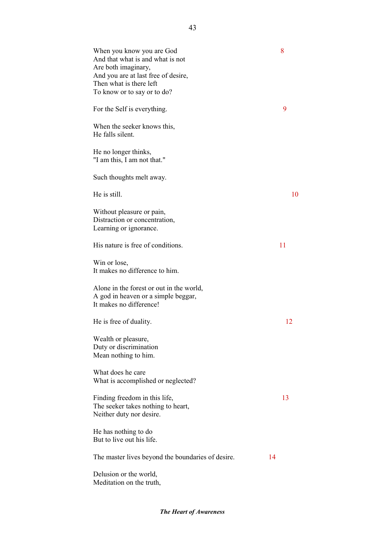| When you know you are God<br>And that what is and what is not<br>Are both imaginary,<br>And you are at last free of desire,<br>Then what is there left<br>To know or to say or to do? | 8  |
|---------------------------------------------------------------------------------------------------------------------------------------------------------------------------------------|----|
| For the Self is everything.                                                                                                                                                           | 9  |
| When the seeker knows this,<br>He falls silent.                                                                                                                                       |    |
| He no longer thinks,<br>"I am this, I am not that."                                                                                                                                   |    |
| Such thoughts melt away.                                                                                                                                                              |    |
| He is still.                                                                                                                                                                          | 10 |
| Without pleasure or pain,<br>Distraction or concentration,<br>Learning or ignorance.                                                                                                  |    |
| His nature is free of conditions.                                                                                                                                                     | 11 |
| Win or lose,<br>It makes no difference to him.                                                                                                                                        |    |
| Alone in the forest or out in the world,<br>A god in heaven or a simple beggar,<br>It makes no difference!                                                                            |    |
| He is free of duality.                                                                                                                                                                | 12 |
| Wealth or pleasure,<br>Duty or discrimination<br>Mean nothing to him.                                                                                                                 |    |
| What does he care<br>What is accomplished or neglected?                                                                                                                               |    |
| Finding freedom in this life,<br>The seeker takes nothing to heart,<br>Neither duty nor desire.                                                                                       | 13 |
| He has nothing to do<br>But to live out his life.                                                                                                                                     |    |
| The master lives beyond the boundaries of desire.                                                                                                                                     | 14 |
| Delusion or the world,<br>Meditation on the truth,                                                                                                                                    |    |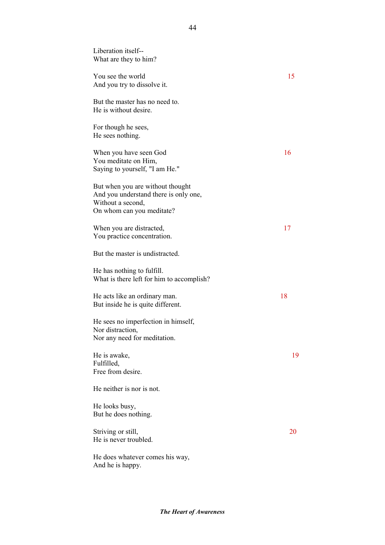| Liberation itself--<br>What are they to him?                                                                                |    |
|-----------------------------------------------------------------------------------------------------------------------------|----|
| You see the world<br>And you try to dissolve it.                                                                            | 15 |
| But the master has no need to.<br>He is without desire.                                                                     |    |
| For though he sees,<br>He sees nothing.                                                                                     |    |
| When you have seen God<br>You meditate on Him,<br>Saying to yourself, "I am He."                                            | 16 |
| But when you are without thought<br>And you understand there is only one,<br>Without a second,<br>On whom can you meditate? |    |
| When you are distracted,<br>You practice concentration.                                                                     | 17 |
| But the master is undistracted.                                                                                             |    |
| He has nothing to fulfill.<br>What is there left for him to accomplish?                                                     |    |
| He acts like an ordinary man.<br>But inside he is quite different.                                                          | 18 |
| He sees no imperfection in himself,<br>Nor distraction,<br>Nor any need for meditation.                                     |    |
| He is awake,<br>Fulfilled,<br>Free from desire.                                                                             | 19 |
| He neither is nor is not.                                                                                                   |    |
| He looks busy,<br>But he does nothing.                                                                                      |    |
| Striving or still,<br>He is never troubled.                                                                                 | 20 |
| He does whatever comes his way,                                                                                             |    |

And he is happy.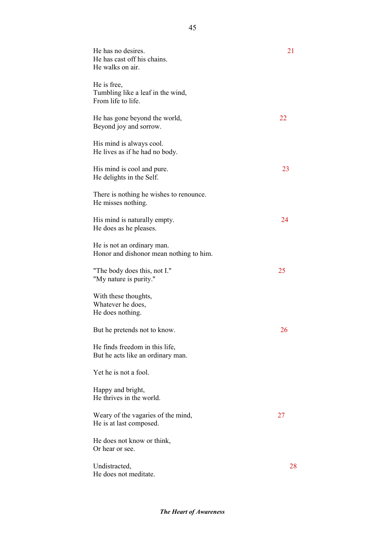| He has no desires.<br>He has cast off his chains.<br>He walks on air.  | 21 |
|------------------------------------------------------------------------|----|
| He is free,<br>Tumbling like a leaf in the wind,<br>From life to life. |    |
| He has gone beyond the world,<br>Beyond joy and sorrow.                | 22 |
| His mind is always cool.<br>He lives as if he had no body.             |    |
| His mind is cool and pure.<br>He delights in the Self.                 | 23 |
| There is nothing he wishes to renounce.<br>He misses nothing.          |    |
| His mind is naturally empty.<br>He does as he pleases.                 | 24 |
| He is not an ordinary man.<br>Honor and dishonor mean nothing to him.  |    |
| "The body does this, not I."<br>"My nature is purity."                 | 25 |
| With these thoughts,<br>Whatever he does,<br>He does nothing.          |    |
| But he pretends not to know.                                           | 26 |
| He finds freedom in this life,<br>But he acts like an ordinary man.    |    |
| Yet he is not a fool.                                                  |    |
| Happy and bright,<br>He thrives in the world.                          |    |
| Weary of the vagaries of the mind,<br>He is at last composed.          | 27 |
| He does not know or think,<br>Or hear or see.                          |    |
| Undistracted,<br>He does not meditate.                                 | 28 |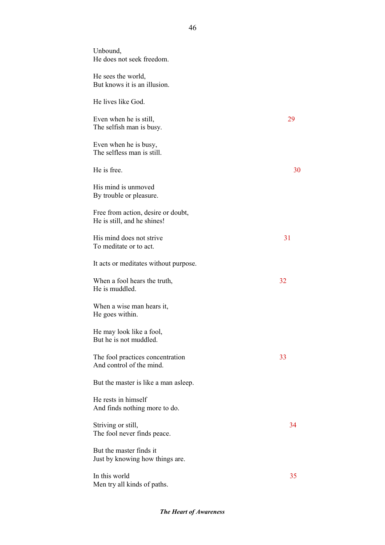| Unbound,<br>He does not seek freedom.                             |    |
|-------------------------------------------------------------------|----|
| He sees the world,<br>But knows it is an illusion.                |    |
| He lives like God.                                                |    |
| Even when he is still,<br>The selfish man is busy.                | 29 |
| Even when he is busy,<br>The selfless man is still.               |    |
| He is free.                                                       | 30 |
| His mind is unmoved<br>By trouble or pleasure.                    |    |
| Free from action, desire or doubt,<br>He is still, and he shines! |    |
| His mind does not strive<br>To meditate or to act.                | 31 |
| It acts or meditates without purpose.                             |    |
| When a fool hears the truth,<br>He is muddled.                    | 32 |
| When a wise man hears it,<br>He goes within.                      |    |
| He may look like a fool.<br>But he is not muddled.                |    |
| The fool practices concentration<br>And control of the mind.      | 33 |
| But the master is like a man asleep.                              |    |
| He rests in himself<br>And finds nothing more to do.              |    |
| Striving or still,<br>The fool never finds peace.                 | 34 |
| But the master finds it<br>Just by knowing how things are.        |    |
| In this world<br>Men try all kinds of paths.                      | 35 |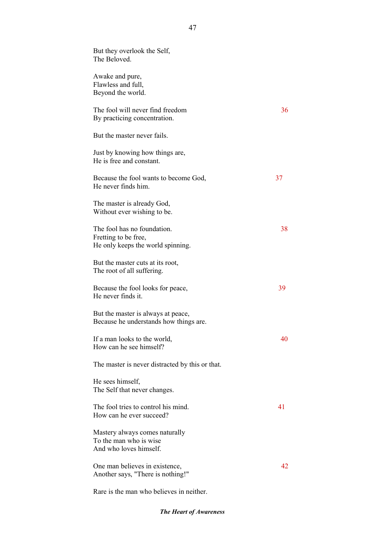| But they overlook the Self,<br>The Beloved.                                              |    |
|------------------------------------------------------------------------------------------|----|
| Awake and pure,<br>Flawless and full,<br>Beyond the world.                               |    |
| The fool will never find freedom<br>By practicing concentration.                         | 36 |
| But the master never fails.                                                              |    |
| Just by knowing how things are,<br>He is free and constant.                              |    |
| Because the fool wants to become God,<br>He never finds him.                             | 37 |
| The master is already God,<br>Without ever wishing to be.                                |    |
| The fool has no foundation.<br>Fretting to be free,<br>He only keeps the world spinning. | 38 |
| But the master cuts at its root,<br>The root of all suffering.                           |    |
| Because the fool looks for peace,<br>He never finds it.                                  | 39 |
| But the master is always at peace,<br>Because he understands how things are.             |    |
| If a man looks to the world,<br>How can he see himself?                                  | 40 |
| The master is never distracted by this or that.                                          |    |
| He sees himself,<br>The Self that never changes.                                         |    |
| The fool tries to control his mind.<br>How can he ever succeed?                          | 41 |
| Mastery always comes naturally<br>To the man who is wise<br>And who loves himself.       |    |
| One man believes in existence,<br>Another says, "There is nothing!"                      | 42 |

Rare is the man who believes in neither.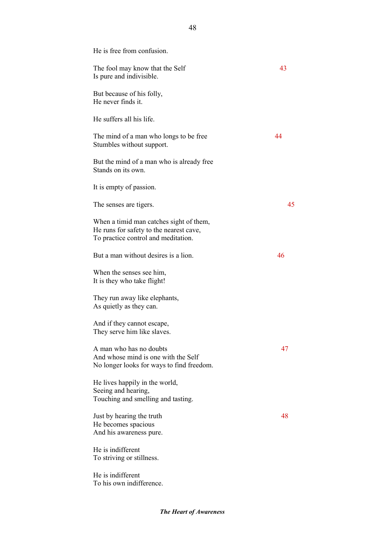| He is free from confusion.                                                                                                |    |
|---------------------------------------------------------------------------------------------------------------------------|----|
| The fool may know that the Self<br>Is pure and indivisible.                                                               | 43 |
| But because of his folly,<br>He never finds it.                                                                           |    |
| He suffers all his life.                                                                                                  |    |
| The mind of a man who longs to be free<br>Stumbles without support.                                                       | 44 |
| But the mind of a man who is already free<br>Stands on its own.                                                           |    |
| It is empty of passion.                                                                                                   |    |
| The senses are tigers.                                                                                                    | 45 |
| When a timid man catches sight of them,<br>He runs for safety to the nearest cave,<br>To practice control and meditation. |    |
| But a man without desires is a lion.                                                                                      | 46 |
| When the senses see him,<br>It is they who take flight!                                                                   |    |
| They run away like elephants,<br>As quietly as they can.                                                                  |    |
| And if they cannot escape,<br>They serve him like slaves.                                                                 |    |
| A man who has no doubts<br>And whose mind is one with the Self<br>No longer looks for ways to find freedom.               | 47 |
| He lives happily in the world,<br>Seeing and hearing,<br>Touching and smelling and tasting.                               |    |
| Just by hearing the truth<br>He becomes spacious<br>And his awareness pure.                                               | 48 |
| He is indifferent<br>To striving or stillness.                                                                            |    |
| He is indifferent<br>To his own indifference.                                                                             |    |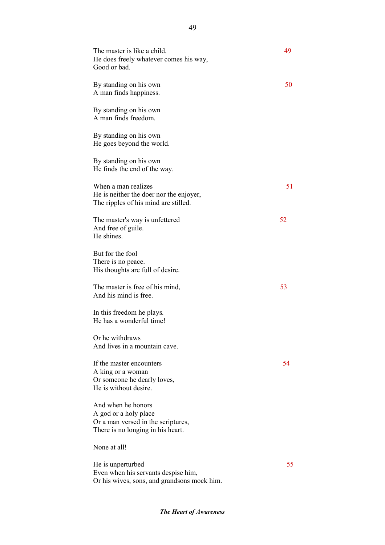| The master is like a child.<br>He does freely whatever comes his way,<br>Good or bad.                                  | 49  |
|------------------------------------------------------------------------------------------------------------------------|-----|
| By standing on his own<br>A man finds happiness.                                                                       | 50  |
| By standing on his own<br>A man finds freedom.                                                                         |     |
| By standing on his own<br>He goes beyond the world.                                                                    |     |
| By standing on his own<br>He finds the end of the way.                                                                 |     |
| When a man realizes<br>He is neither the doer nor the enjoyer,<br>The ripples of his mind are stilled.                 | 51  |
| The master's way is unfettered<br>And free of guile.<br>He shines.                                                     | 52  |
| But for the fool<br>There is no peace.<br>His thoughts are full of desire.                                             |     |
| The master is free of his mind,<br>And his mind is free.                                                               | 53  |
| In this freedom he plays.<br>He has a wonderful time!                                                                  |     |
| Or he withdraws<br>And lives in a mountain cave.                                                                       |     |
| If the master encounters<br>A king or a woman<br>Or someone he dearly loves,<br>He is without desire.                  | 54  |
| And when he honors<br>A god or a holy place<br>Or a man versed in the scriptures,<br>There is no longing in his heart. |     |
| None at all!                                                                                                           |     |
| He is unperturbed<br>Even when his servants despise him,<br>Or his wives, sons, and grandsons mock him.                | 55. |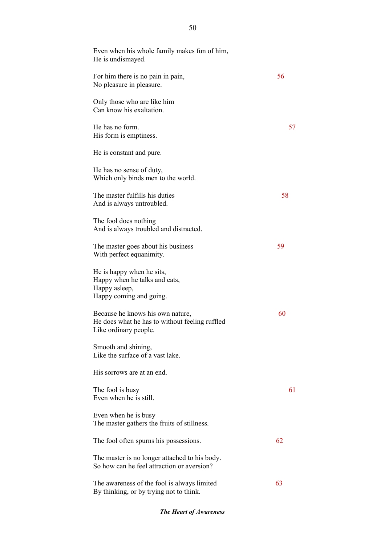| Even when his whole family makes fun of him,<br>He is undismayed.                                           |    |
|-------------------------------------------------------------------------------------------------------------|----|
| For him there is no pain in pain,<br>No pleasure in pleasure.                                               | 56 |
| Only those who are like him<br>Can know his exaltation.                                                     |    |
| He has no form.<br>His form is emptiness.                                                                   | 57 |
| He is constant and pure.                                                                                    |    |
| He has no sense of duty,<br>Which only binds men to the world.                                              |    |
| The master fulfills his duties<br>And is always untroubled.                                                 | 58 |
| The fool does nothing<br>And is always troubled and distracted.                                             |    |
| The master goes about his business<br>With perfect equanimity.                                              | 59 |
| He is happy when he sits,<br>Happy when he talks and eats,<br>Happy asleep,<br>Happy coming and going.      |    |
| Because he knows his own nature,<br>He does what he has to without feeling ruffled<br>Like ordinary people. | 60 |
| Smooth and shining,<br>Like the surface of a vast lake.                                                     |    |
| His sorrows are at an end.                                                                                  |    |
| The fool is busy<br>Even when he is still.                                                                  | 61 |
| Even when he is busy<br>The master gathers the fruits of stillness.                                         |    |
| The fool often spurns his possessions.                                                                      | 62 |
| The master is no longer attached to his body.<br>So how can he feel attraction or aversion?                 |    |
| The awareness of the fool is always limited<br>By thinking, or by trying not to think.                      | 63 |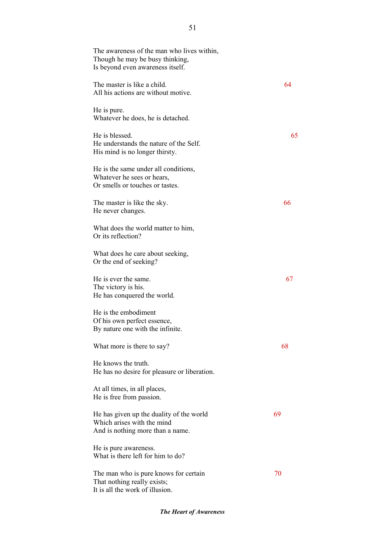| The awareness of the man who lives within,<br>Though he may be busy thinking,<br>Is beyond even awareness itself. |    |
|-------------------------------------------------------------------------------------------------------------------|----|
| The master is like a child.<br>All his actions are without motive.                                                | 64 |
| He is pure.<br>Whatever he does, he is detached.                                                                  |    |
| He is blessed.<br>He understands the nature of the Self.<br>His mind is no longer thirsty.                        | 65 |
| He is the same under all conditions,<br>Whatever he sees or hears,<br>Or smells or touches or tastes.             |    |
| The master is like the sky.<br>He never changes.                                                                  | 66 |
| What does the world matter to him,<br>Or its reflection?                                                          |    |
| What does he care about seeking,<br>Or the end of seeking?                                                        |    |
| He is ever the same.<br>The victory is his.<br>He has conquered the world.                                        | 67 |
| He is the embodiment<br>Of his own perfect essence,<br>By nature one with the infinite.                           |    |
| What more is there to say?                                                                                        | 68 |
| He knows the truth.<br>He has no desire for pleasure or liberation.                                               |    |
| At all times, in all places,<br>He is free from passion.                                                          |    |
| He has given up the duality of the world<br>Which arises with the mind<br>And is nothing more than a name.        | 69 |
| He is pure awareness.<br>What is there left for him to do?                                                        |    |
| The man who is pure knows for certain<br>That nothing really exists;<br>It is all the work of illusion.           | 70 |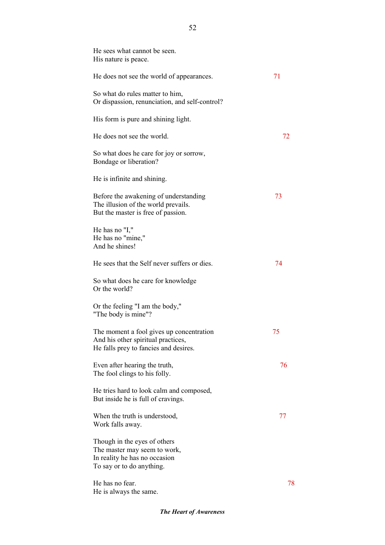| He sees what cannot be seen.<br>His nature is peace.                                                                       |    |
|----------------------------------------------------------------------------------------------------------------------------|----|
| He does not see the world of appearances.                                                                                  | 71 |
| So what do rules matter to him,<br>Or dispassion, renunciation, and self-control?                                          |    |
| His form is pure and shining light.                                                                                        |    |
| He does not see the world.                                                                                                 | 72 |
| So what does he care for joy or sorrow,<br>Bondage or liberation?                                                          |    |
| He is infinite and shining.                                                                                                |    |
| Before the awakening of understanding<br>The illusion of the world prevails.<br>But the master is free of passion.         | 73 |
| He has no "I,"<br>He has no "mine,"<br>And he shines!                                                                      |    |
| He sees that the Self never suffers or dies.                                                                               | 74 |
| So what does he care for knowledge<br>Or the world?                                                                        |    |
| Or the feeling "I am the body,"<br>"The body is mine"?                                                                     |    |
| The moment a fool gives up concentration<br>And his other spiritual practices,<br>He falls prey to fancies and desires.    | 75 |
| Even after hearing the truth,<br>The fool clings to his folly.                                                             | 76 |
| He tries hard to look calm and composed,<br>But inside he is full of cravings.                                             |    |
| When the truth is understood,<br>Work falls away.                                                                          | 77 |
| Though in the eyes of others<br>The master may seem to work,<br>In reality he has no occasion<br>To say or to do anything. |    |
| He has no fear.<br>He is always the same.                                                                                  | 78 |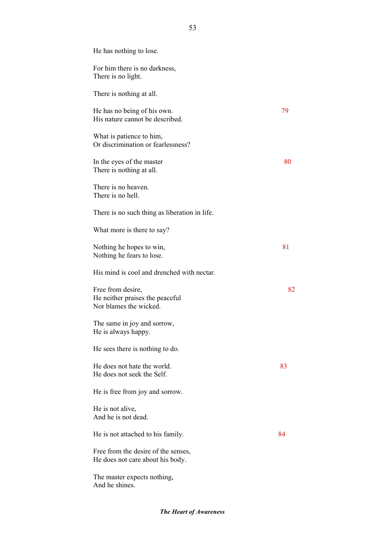| He has nothing to lose.                                                        |    |
|--------------------------------------------------------------------------------|----|
| For him there is no darkness,<br>There is no light.                            |    |
| There is nothing at all.                                                       |    |
| He has no being of his own.<br>His nature cannot be described.                 | 79 |
| What is patience to him,<br>Or discrimination or fearlessness?                 |    |
| In the eyes of the master<br>There is nothing at all.                          | 80 |
| There is no heaven.<br>There is no hell.                                       |    |
| There is no such thing as liberation in life.                                  |    |
| What more is there to say?                                                     |    |
| Nothing he hopes to win,<br>Nothing he fears to lose.                          | 81 |
| His mind is cool and drenched with nectar.                                     |    |
| Free from desire,<br>He neither praises the peaceful<br>Nor blames the wicked. | 82 |
| The same in joy and sorrow,<br>He is always happy.                             |    |
| He sees there is nothing to do.                                                |    |
| He does not hate the world.<br>He does not seek the Self.                      | 83 |
| He is free from joy and sorrow.                                                |    |
| He is not alive,<br>And he is not dead.                                        |    |
| He is not attached to his family.                                              | 84 |
| Free from the desire of the senses,<br>He does not care about his body.        |    |
| The master expects nothing,<br>And he shines.                                  |    |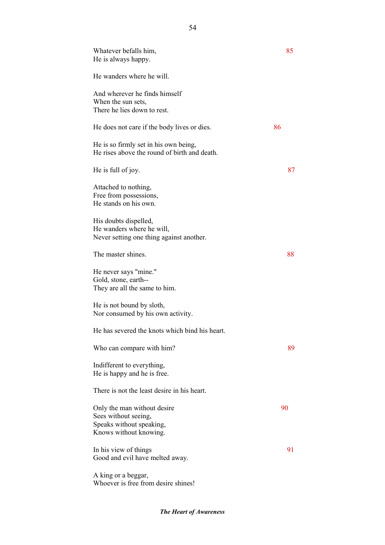| Whatever befalls him,<br>He is always happy.                                                              | 85 |
|-----------------------------------------------------------------------------------------------------------|----|
| He wanders where he will.                                                                                 |    |
| And wherever he finds himself<br>When the sun sets,<br>There he lies down to rest.                        |    |
| He does not care if the body lives or dies.                                                               | 86 |
| He is so firmly set in his own being,<br>He rises above the round of birth and death.                     |    |
| He is full of joy.                                                                                        | 87 |
| Attached to nothing,<br>Free from possessions,<br>He stands on his own.                                   |    |
| His doubts dispelled,<br>He wanders where he will,<br>Never setting one thing against another.            |    |
| The master shines.                                                                                        | 88 |
| He never says "mine."<br>Gold, stone, earth--<br>They are all the same to him.                            |    |
| He is not bound by sloth,<br>Nor consumed by his own activity.                                            |    |
| He has severed the knots which bind his heart.                                                            |    |
| Who can compare with him?                                                                                 | 89 |
| Indifferent to everything,<br>He is happy and he is free.                                                 |    |
| There is not the least desire in his heart.                                                               |    |
| Only the man without desire<br>Sees without seeing,<br>Speaks without speaking,<br>Knows without knowing. | 90 |
| In his view of things<br>Good and evil have melted away.                                                  | 91 |
| A king or a beggar,                                                                                       |    |

Whoever is free from desire shines!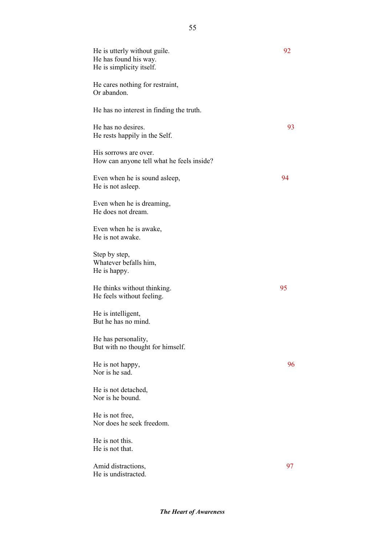| He is utterly without guile.<br>He has found his way.<br>He is simplicity itself. | 92 |
|-----------------------------------------------------------------------------------|----|
| He cares nothing for restraint,<br>Or abandon.                                    |    |
| He has no interest in finding the truth.                                          |    |
| He has no desires.<br>He rests happily in the Self.                               | 93 |
| His sorrows are over.<br>How can anyone tell what he feels inside?                |    |
| Even when he is sound as leep,<br>He is not asleep.                               | 94 |
| Even when he is dreaming,<br>He does not dream.                                   |    |
| Even when he is awake,<br>He is not awake.                                        |    |
| Step by step,<br>Whatever befalls him,<br>He is happy.                            |    |
| He thinks without thinking.<br>He feels without feeling.                          | 95 |
| He is intelligent,<br>But he has no mind.                                         |    |
| He has personality,<br>But with no thought for himself.                           |    |
| He is not happy,<br>Nor is he sad.                                                | 96 |
| He is not detached,<br>Nor is he bound.                                           |    |
| He is not free,<br>Nor does he seek freedom.                                      |    |
| He is not this.<br>He is not that.                                                |    |
| Amid distractions,<br>He is undistracted.                                         | 97 |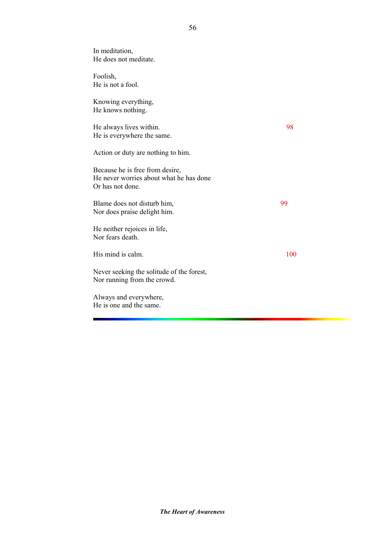| In meditation,<br>He does not meditate.                                                        |     |
|------------------------------------------------------------------------------------------------|-----|
| Foolish,<br>He is not a fool.                                                                  |     |
| Knowing everything,<br>He knows nothing.                                                       |     |
| He always lives within.<br>He is everywhere the same.                                          | 98  |
| Action or duty are nothing to him.                                                             |     |
| Because he is free from desire,<br>He never worries about what he has done<br>Or has not done. |     |
| Blame does not disturb him,<br>Nor does praise delight him.                                    | 99  |
| He neither rejoices in life,<br>Nor fears death.                                               |     |
| His mind is calm.                                                                              | 100 |
| Never seeking the solitude of the forest,<br>Nor running from the crowd.                       |     |
| Always and everywhere,<br>He is one and the same.                                              |     |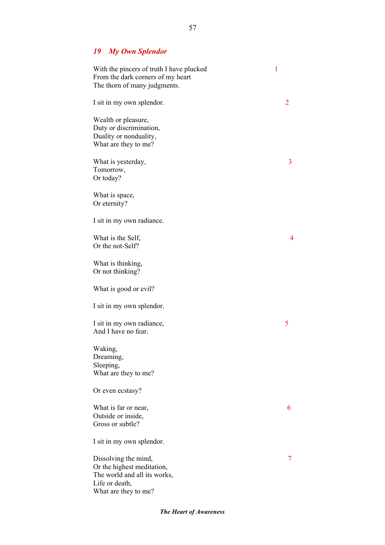# *19 My Own Splendor*

| With the pincers of truth I have plucked<br>From the dark corners of my heart<br>The thorn of many judgments.                | 1 |   |
|------------------------------------------------------------------------------------------------------------------------------|---|---|
| I sit in my own splendor.                                                                                                    |   | 2 |
| Wealth or pleasure,<br>Duty or discrimination,<br>Duality or nonduality,<br>What are they to me?                             |   |   |
| What is yesterday,<br>Tomorrow,<br>Or today?                                                                                 |   | 3 |
| What is space,<br>Or eternity?                                                                                               |   |   |
| I sit in my own radiance.                                                                                                    |   |   |
| What is the Self,<br>Or the not-Self?                                                                                        |   | 4 |
| What is thinking,<br>Or not thinking?                                                                                        |   |   |
| What is good or evil?                                                                                                        |   |   |
| I sit in my own splendor.                                                                                                    |   |   |
| I sit in my own radiance,<br>And I have no fear.                                                                             |   | 5 |
| Waking,<br>Dreaming,<br>Sleeping,<br>What are they to me?                                                                    |   |   |
| Or even ecstasy?                                                                                                             |   |   |
| What is far or near,<br>Outside or inside,<br>Gross or subtle?                                                               |   | 6 |
| I sit in my own splendor.                                                                                                    |   |   |
| Dissolving the mind,<br>Or the highest meditation,<br>The world and all its works,<br>Life or death,<br>What are they to me? |   | 7 |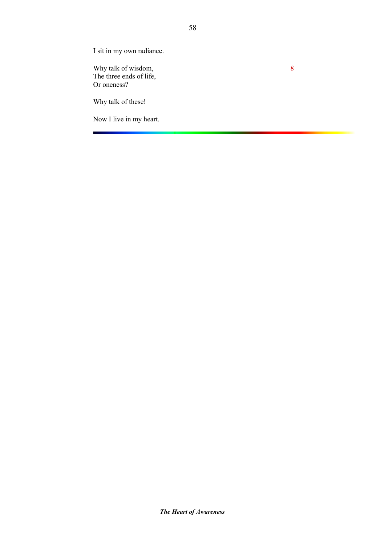I sit in my own radiance.

Why talk of wisdom, 8 The three ends of life, Or oneness?

Why talk of these!

Now I live in my heart.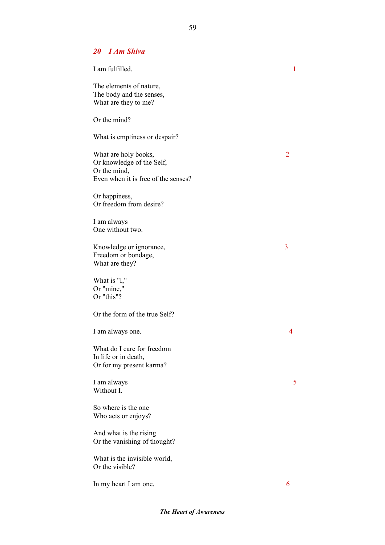59

### *20 I Am Shiva*

| I am fulfilled.                                                                                          | $\mathbf{1}$ |
|----------------------------------------------------------------------------------------------------------|--------------|
| The elements of nature,<br>The body and the senses,<br>What are they to me?                              |              |
| Or the mind?                                                                                             |              |
| What is emptiness or despair?                                                                            |              |
| What are holy books,<br>Or knowledge of the Self,<br>Or the mind,<br>Even when it is free of the senses? | 2            |
| Or happiness,<br>Or freedom from desire?                                                                 |              |
| I am always<br>One without two.                                                                          |              |
| Knowledge or ignorance,<br>Freedom or bondage,<br>What are they?                                         | 3            |
| What is "I,"<br>Or "mine,"<br>Or "this"?                                                                 |              |
| Or the form of the true Self?                                                                            |              |
| I am always one.                                                                                         | 4            |
| What do I care for freedom<br>In life or in death,<br>Or for my present karma?                           |              |
| I am always<br>Without I.                                                                                | 5            |
| So where is the one<br>Who acts or enjoys?                                                               |              |
| And what is the rising<br>Or the vanishing of thought?                                                   |              |
| What is the invisible world,<br>Or the visible?                                                          |              |
| In my heart I am one.                                                                                    | 6            |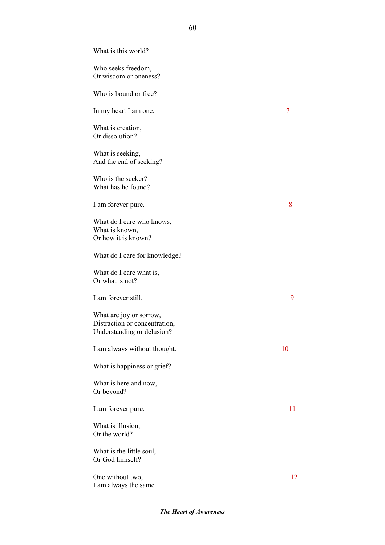What is this world? Who seeks freedom, Or wisdom or oneness? Who is bound or free? In my heart I am one. 7 What is creation, Or dissolution? What is seeking, And the end of seeking? Who is the seeker? What has he found? I am forever pure. 8 What do I care who knows, What is known, Or how it is known? What do I care for knowledge? What do I care what is, Or what is not? I am forever still. What are joy or sorrow, Distraction or concentration, Understanding or delusion? I am always without thought. 10 What is happiness or grief? What is here and now, Or beyond? I am forever pure. 11 What is illusion, Or the world? What is the little soul, Or God himself? One without two, 12

I am always the same.